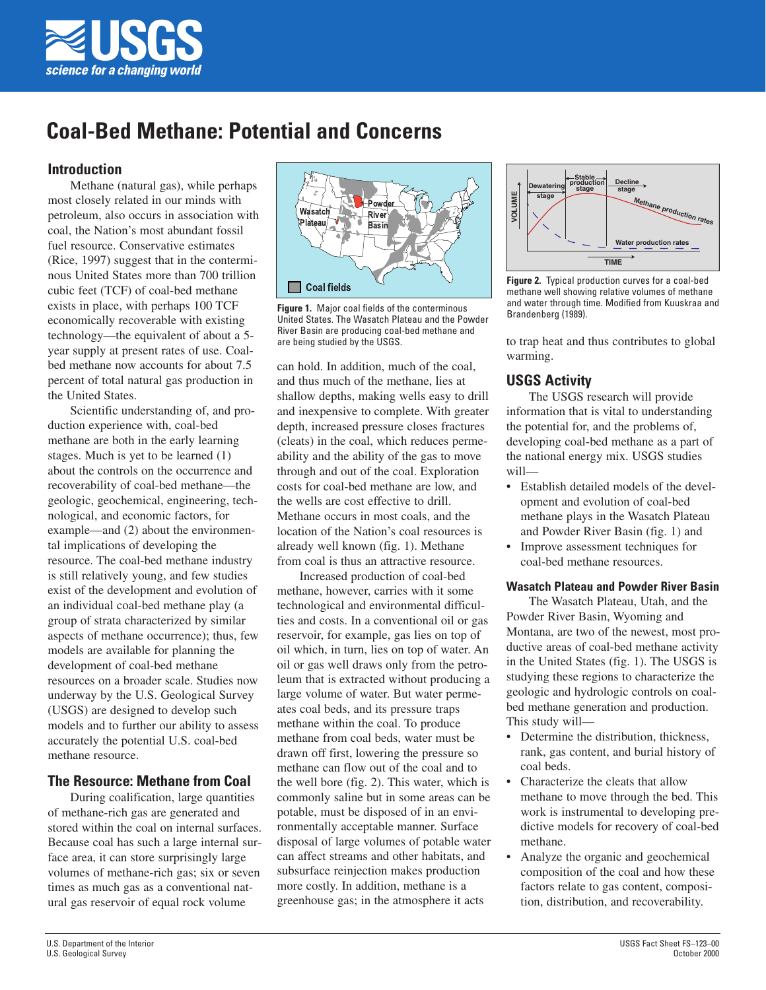

# **Coal-Bed Methane: Potential and Concerns**

# **Introduction**

Methane (natural gas), while perhaps most closely related in our minds with petroleum, also occurs in association with coal, the Nation's most abundant fossil fuel resource. Conservative estimates (Rice, 1997) suggest that in the conterminous United States more than 700 trillion cubic feet (TCF) of coal-bed methane exists in place, with perhaps 100 TCF economically recoverable with existing technology—the equivalent of about a 5 year supply at present rates of use. Coalbed methane now accounts for about 7.5 percent of total natural gas production in the United States.

Scientific understanding of, and production experience with, coal-bed methane are both in the early learning stages. Much is yet to be learned (1) about the controls on the occurrence and recoverability of coal-bed methane—the geologic, geochemical, engineering, technological, and economic factors, for example—and (2) about the environmental implications of developing the resource. The coal-bed methane industry is still relatively young, and few studies exist of the development and evolution of an individual coal-bed methane play (a group of strata characterized by similar aspects of methane occurrence); thus, few models are available for planning the development of coal-bed methane resources on a broader scale. Studies now underway by the U.S. Geological Survey (USGS) are designed to develop such models and to further our ability to assess accurately the potential U.S. coal-bed methane resource.

# **The Resource: Methane from Coal**

During coalification, large quantities of methane-rich gas are generated and stored within the coal on internal surfaces. Because coal has such a large internal surface area, it can store surprisingly large volumes of methane-rich gas; six or seven times as much gas as a conventional natural gas reservoir of equal rock volume



**Figure 1.** Major coal fields of the conterminous United States. The Wasatch Plateau and the Powder River Basin are producing coal-bed methane and are being studied by the USGS.

can hold. In addition, much of the coal, and thus much of the methane, lies at shallow depths, making wells easy to drill and inexpensive to complete. With greater depth, increased pressure closes fractures (cleats) in the coal, which reduces permeability and the ability of the gas to move through and out of the coal. Exploration costs for coal-bed methane are low, and the wells are cost effective to drill. Methane occurs in most coals, and the location of the Nation's coal resources is already well known (fig. 1). Methane from coal is thus an attractive resource.

Increased production of coal-bed methane, however, carries with it some technological and environmental difficulties and costs. In a conventional oil or gas reservoir, for example, gas lies on top of oil which, in turn, lies on top of water. An oil or gas well draws only from the petroleum that is extracted without producing a large volume of water. But water permeates coal beds, and its pressure traps methane within the coal. To produce methane from coal beds, water must be drawn off first, lowering the pressure so methane can flow out of the coal and to the well bore (fig. 2). This water, which is commonly saline but in some areas can be potable, must be disposed of in an environmentally acceptable manner. Surface disposal of large volumes of potable water can affect streams and other habitats, and subsurface reinjection makes production more costly. In addition, methane is a greenhouse gas; in the atmosphere it acts



**Figure 2.** Typical production curves for a coal-bed methane well showing relative volumes of methane and water through time. Modified from Kuuskraa and Brandenberg (1989).

to trap heat and thus contributes to global warming.

# **USGS Activity**

The USGS research will provide information that is vital to understanding the potential for, and the problems of, developing coal-bed methane as a part of the national energy mix. USGS studies will—

- Establish detailed models of the development and evolution of coal-bed methane plays in the Wasatch Plateau and Powder River Basin (fig. 1) and
- Improve assessment techniques for coal-bed methane resources.

# **Wasatch Plateau and Powder River Basin**

The Wasatch Plateau, Utah, and the Powder River Basin, Wyoming and Montana, are two of the newest, most productive areas of coal-bed methane activity in the United States (fig. 1). The USGS is studying these regions to characterize the geologic and hydrologic controls on coalbed methane generation and production. This study will—

- Determine the distribution, thickness, rank, gas content, and burial history of coal beds.
- Characterize the cleats that allow methane to move through the bed. This work is instrumental to developing predictive models for recovery of coal-bed methane.
- Analyze the organic and geochemical composition of the coal and how these factors relate to gas content, composition, distribution, and recoverability.